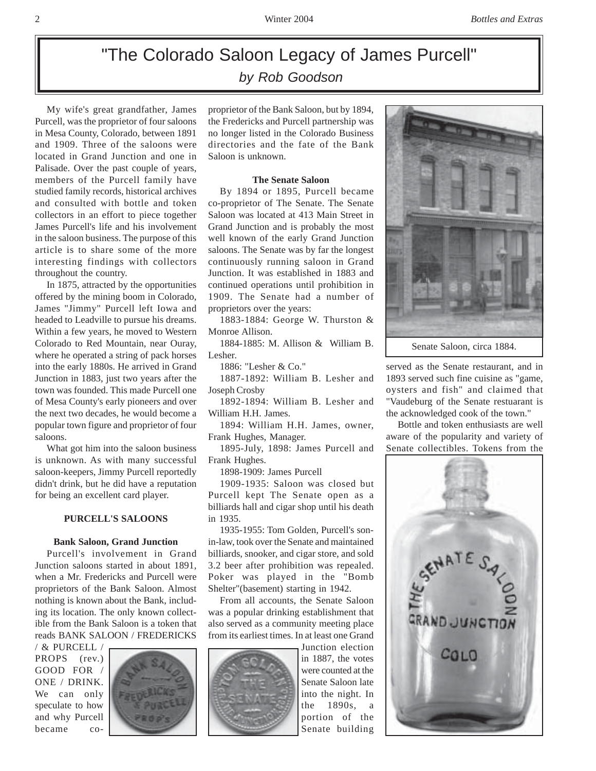# "The Colorado Saloon Legacy of James Purcell" *by Rob Goodson*

My wife's great grandfather, James Purcell, was the proprietor of four saloons in Mesa County, Colorado, between 1891 and 1909. Three of the saloons were located in Grand Junction and one in Palisade. Over the past couple of years, members of the Purcell family have studied family records, historical archives and consulted with bottle and token collectors in an effort to piece together James Purcell's life and his involvement in the saloon business. The purpose of this article is to share some of the more interesting findings with collectors throughout the country.

In 1875, attracted by the opportunities offered by the mining boom in Colorado, James "Jimmy" Purcell left Iowa and headed to Leadville to pursue his dreams. Within a few years, he moved to Western Colorado to Red Mountain, near Ouray, where he operated a string of pack horses into the early 1880s. He arrived in Grand Junction in 1883, just two years after the town was founded. This made Purcell one of Mesa County's early pioneers and over the next two decades, he would become a popular town figure and proprietor of four saloons.

What got him into the saloon business is unknown. As with many successful saloon-keepers, Jimmy Purcell reportedly didn't drink, but he did have a reputation for being an excellent card player.

## **PURCELL'S SALOONS**

# **Bank Saloon, Grand Junction**

Purcell's involvement in Grand Junction saloons started in about 1891, when a Mr. Fredericks and Purcell were proprietors of the Bank Saloon. Almost nothing is known about the Bank, including its location. The only known collectible from the Bank Saloon is a token that reads BANK SALOON / FREDERICKS

/ & PURCELL / PROPS (rev.) GOOD FOR / ONE / DRINK. We can only speculate to how and why Purcell became co-



proprietor of the Bank Saloon, but by 1894, the Fredericks and Purcell partnership was no longer listed in the Colorado Business directories and the fate of the Bank Saloon is unknown.

#### **The Senate Saloon**

By 1894 or 1895, Purcell became co-proprietor of The Senate. The Senate Saloon was located at 413 Main Street in Grand Junction and is probably the most well known of the early Grand Junction saloons. The Senate was by far the longest continuously running saloon in Grand Junction. It was established in 1883 and continued operations until prohibition in 1909. The Senate had a number of proprietors over the years:

1883-1884: George W. Thurston & Monroe Allison.

1884-1885: M. Allison & William B. Lesher.

1886: "Lesher & Co."

1887-1892: William B. Lesher and Joseph Crosby

1892-1894: William B. Lesher and William H.H. James.

1894: William H.H. James, owner, Frank Hughes, Manager.

1895-July, 1898: James Purcell and Frank Hughes.

1898-1909: James Purcell

1909-1935: Saloon was closed but Purcell kept The Senate open as a billiards hall and cigar shop until his death in 1935.

1935-1955: Tom Golden, Purcell's sonin-law, took over the Senate and maintained billiards, snooker, and cigar store, and sold 3.2 beer after prohibition was repealed. Poker was played in the "Bomb Shelter"(basement) starting in 1942.

From all accounts, the Senate Saloon was a popular drinking establishment that also served as a community meeting place from its earliest times. In at least one Grand

Junction election in 1887, the votes were counted at the Senate Saloon late into the night. In the 1890s, a portion of the Senate building



served as the Senate restaurant, and in 1893 served such fine cuisine as "game, oysters and fish" and claimed that "Vaudeburg of the Senate restuarant is the acknowledged cook of the town."

Bottle and token enthusiasts are well aware of the popularity and variety of Senate collectibles. Tokens from the

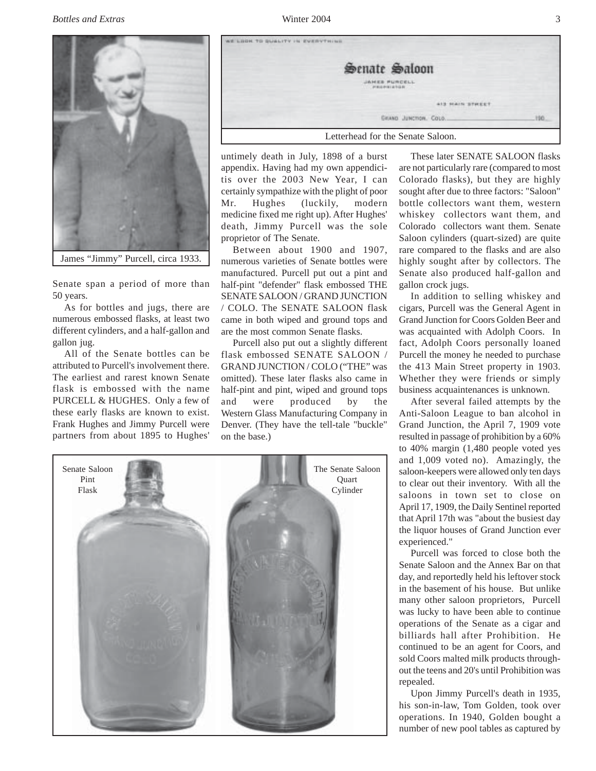

Senate span a period of more than 50 years.

As for bottles and jugs, there are numerous embossed flasks, at least two different cylinders, and a half-gallon and gallon jug.

All of the Senate bottles can be attributed to Purcell's involvement there. The earliest and rarest known Senate flask is embossed with the name PURCELL & HUGHES. Only a few of these early flasks are known to exist. Frank Hughes and Jimmy Purcell were partners from about 1895 to Hughes'



untimely death in July, 1898 of a burst appendix. Having had my own appendicitis over the 2003 New Year, I can certainly sympathize with the plight of poor Mr. Hughes (luckily, modern medicine fixed me right up). After Hughes' death, Jimmy Purcell was the sole proprietor of The Senate.

Between about 1900 and 1907, numerous varieties of Senate bottles were manufactured. Purcell put out a pint and half-pint "defender" flask embossed THE SENATE SALOON / GRAND JUNCTION / COLO. The SENATE SALOON flask came in both wiped and ground tops and are the most common Senate flasks.

Purcell also put out a slightly different flask embossed SENATE SALOON / GRAND JUNCTION / COLO ("THE" was omitted). These later flasks also came in half-pint and pint, wiped and ground tops and were produced by the Western Glass Manufacturing Company in Denver. (They have the tell-tale "buckle" on the base.)



These later SENATE SALOON flasks are not particularly rare (compared to most Colorado flasks), but they are highly sought after due to three factors: "Saloon" bottle collectors want them, western whiskey collectors want them, and Colorado collectors want them. Senate Saloon cylinders (quart-sized) are quite rare compared to the flasks and are also highly sought after by collectors. The Senate also produced half-gallon and gallon crock jugs.

In addition to selling whiskey and cigars, Purcell was the General Agent in Grand Junction for Coors Golden Beer and was acquainted with Adolph Coors. In fact, Adolph Coors personally loaned Purcell the money he needed to purchase the 413 Main Street property in 1903. Whether they were friends or simply business acquaintenances is unknown.

After several failed attempts by the Anti-Saloon League to ban alcohol in Grand Junction, the April 7, 1909 vote resulted in passage of prohibition by a 60% to 40% margin (1,480 people voted yes and 1,009 voted no). Amazingly, the saloon-keepers were allowed only ten days to clear out their inventory. With all the saloons in town set to close on April 17, 1909, the Daily Sentinel reported that April 17th was "about the busiest day the liquor houses of Grand Junction ever experienced."

Purcell was forced to close both the Senate Saloon and the Annex Bar on that day, and reportedly held his leftover stock in the basement of his house. But unlike many other saloon proprietors, Purcell was lucky to have been able to continue operations of the Senate as a cigar and billiards hall after Prohibition. He continued to be an agent for Coors, and sold Coors malted milk products throughout the teens and 20's until Prohibition was repealed.

Upon Jimmy Purcell's death in 1935, his son-in-law, Tom Golden, took over operations. In 1940, Golden bought a number of new pool tables as captured by